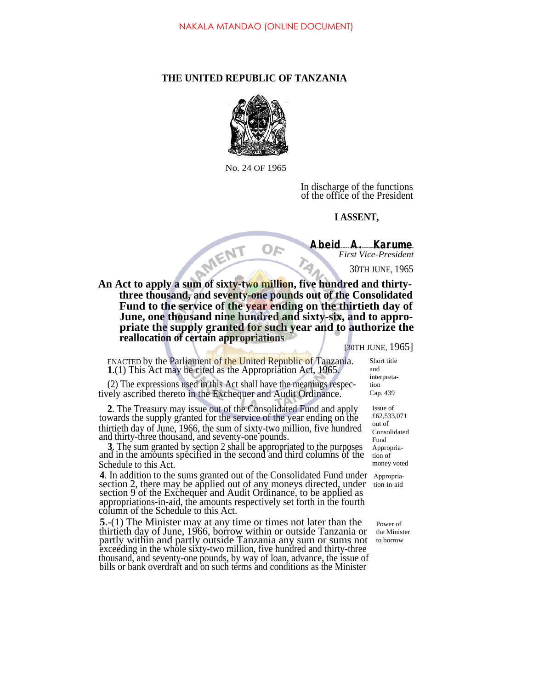## **THE UNITED REPUBLIC OF TANZANIA**



No. 24 OF 1965

In discharge of the functions of the office of the President

## **I ASSENT,**

**Abeid A. Karume** *First Vice-President*

30TH JUNE, 1965

An Act to apply a sum of sixty-two million, five hundred and thirty**three thousand, and seventy-one pounds out of the Consolidated Fund to the service of the year ending on the thirtieth day of June, one thousand nine hundred and sixty-six, and to appropriate the supply granted for such year and to authorize the reallocation of certain appropriations**

OF

[30TH JUNE, 1965]

ENACTED by the Parliament of the United Republic of Tanzania. **1**.(1) This Act may be cited as the Appropriation Act, 1965.

(2) The expressions used in this Act shall have the meanings respectively ascribed thereto in the Exchequer and Audit Ordinance.

**2**. The Treasury may issue out of the Consolidated Fund and apply towards the supply granted for the service of the year ending on the thirtieth day of June, 1966, the sum of sixty-two million, five hundred and thirty-three thousand, and seventy-one pounds.

**3**. The sum granted by section 2 shall be appropriated to the purposes and in the amounts specified in the second and third columns of the Schedule to this Act.

4. In addition to the sums granted out of the Consolidated Fund under Appropriasection 2, there may be applied out of any moneys directed, under section 2, there may be applied out of any moneys directed, under tion-in-aid section 9 of the Exchequer and Audit Ordinance, to be applied as appropriations-in-aid, the amounts respectively set forth in the fourth column of the Schedule to this Act.

**5**.-(1) The Minister may at any time or times not later than the thirtieth day of June, 1966, borrow within or outside Tanzania or partly within and partly outside Tanzania any sum or sums not exceeding in the whole sixty-two million, five hundred and thirty-three thousand, and seventy-one pounds, by way of loan, advance, the issue of bills or bank overdraft and on such terms and conditions as the Minister

Short title and interpretation Cap. 439

> Issue of £62,533,071 out of Consolidated Fund Appropriation of money voted

Power of the Minister to borrow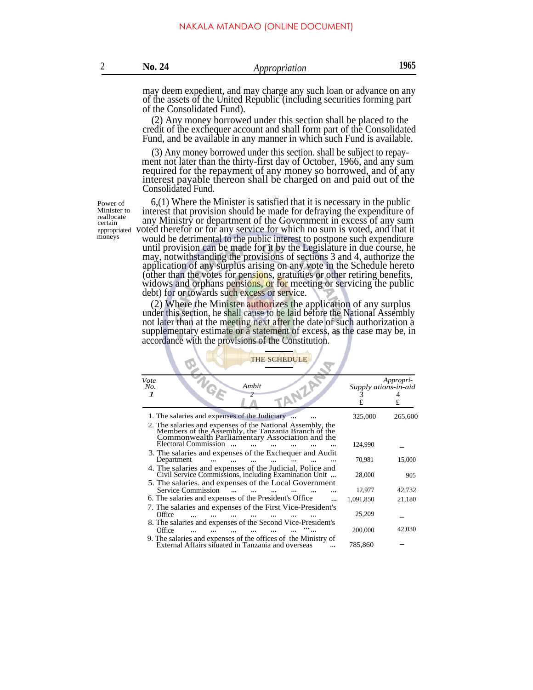may deem expedient, and may charge any such loan or advance on any of the assets of the United Republic (including securities forming part of the Consolidated Fund).

(2) Any money borrowed under this section shall be placed to the credit of the exchequer account and shall form part of the Consolidated Fund, and be available in any manner in which such Fund is available.

 $(3)$  Any money borrowed under this section. shall be subject to repayment not later than the thirty-first day of October, 1966, and any sum required for the repayment of any money so borrowed, and of any interest payable thereon shall be charged on and paid out of the Consolidated Fund.

Power of Minister<sub>to</sub> reallocate certain<br>appropriated

6,(1) Where the Minister is satisfied that it is necessary in the public interest that provision should be made for defraying the expenditure of any Ministry or department of the Government in excess of any sum appropriated voted therefor or for any service for which no sum is voted, and that it would be detrimental to the public interest to postpone such expenditure until provision can be made for it by the Legislature in due course, he may, notwithstanding the provisions of sections 3 and 4, authorize the application of any surplus arising on any vote in the Schedule hereto (other than the votes for pensions, gratuities or other retiring benefits, widows and orphans pensions, or for meeting or servicing the public debt) for or towards such excess or service.

> (2) Where the Minister authorizes the application of any surplus under this section, he shall cause to be laid before the National Assembly not later than at the meeting next after the date of such authorization a supplementary estimate or a statement of excess, as the case may be, in accordance with the provisions of the Constitution.

| <b>THE SCHEDULE</b>                                                                                                                                                                   |                      |                |  |  |  |  |
|---------------------------------------------------------------------------------------------------------------------------------------------------------------------------------------|----------------------|----------------|--|--|--|--|
| Vote<br>Ambit<br>No.<br>$\boldsymbol{\mathcal{I}}$                                                                                                                                    | Supply ations-in-aid | Appropri-<br>£ |  |  |  |  |
| 1. The salaries and expenses of the Judiciary                                                                                                                                         | 325,000              | 265,600        |  |  |  |  |
| 2. The salaries and expenses of the National Assembly, the Members of the Assembly, the Tanzania Branch of the Commonwealth Parliamentary Association and the<br>Electoral Commission | 124,990              |                |  |  |  |  |
| 3. The salaries and expenses of the Exchequer and Audit<br>Department                                                                                                                 | 70,981               | 15,000         |  |  |  |  |
| 4. The salaries and expenses of the Judicial, Police and Civil Service Commissions, including Examination Unit                                                                        | 28,000               | 905            |  |  |  |  |
| 5. The salaries. and expenses of the Local Government<br>Service Commission                                                                                                           | 12,977               | 42,732         |  |  |  |  |
| 6. The salaries and expenses of the President's Office                                                                                                                                | 1,091,850            | 21,180         |  |  |  |  |
| 7. The salaries and expenses of the First Vice-President's<br>Office                                                                                                                  | 25,209               |                |  |  |  |  |
| 8. The salaries and expenses of the Second Vice-President's<br>Office                                                                                                                 | 200,000              | 42,030         |  |  |  |  |
| 9. The salaries and expenses of the offices of the Ministry of External Affairs situated in Tanzania and overseas                                                                     | 785,860              |                |  |  |  |  |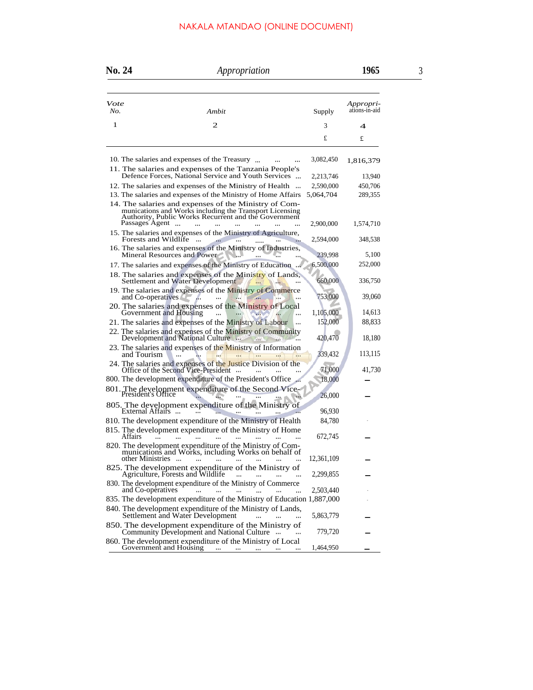## NAKALA MTANDAO (ONLINE DOCUMENT)

| No. 24      |                      | Appropriation                                                                                                                                                                        |                        | 1965                       | 3 |
|-------------|----------------------|--------------------------------------------------------------------------------------------------------------------------------------------------------------------------------------|------------------------|----------------------------|---|
| Vote<br>No. |                      | Ambit                                                                                                                                                                                | Supply                 | Appropri-<br>ations-in-aid |   |
| 1           |                      | $\mathbf{2}$                                                                                                                                                                         | 3                      | 4                          |   |
|             |                      |                                                                                                                                                                                      | £                      | £                          |   |
|             |                      | 10. The salaries and expenses of the Treasury<br>11. The salaries and expenses of the Tanzania People's                                                                              | 3,082,450              | 1,816,379                  |   |
|             |                      | Defence Forces, National Service and Youth Services                                                                                                                                  | 2,213,746              | 13,940                     |   |
|             |                      | 12. The salaries and expenses of the Ministry of Health<br>13. The salaries and expenses of the Ministry of Home Affairs                                                             | 2,590,000<br>5,064,704 | 450,706<br>289,355         |   |
|             | Passages Agent       | 14. The salaries and expenses of the Ministry of Com-<br>munications and Works including the Transport Licensing<br>Authority, Public Works Recurrent and the Government<br>$\cdots$ | 2,900,000              | 1,574,710                  |   |
|             | Forests and Wildlife | 15. The salaries and expenses of the Ministry of Agriculture,<br>$\ddotsc$                                                                                                           | 2,594,000              | 348,538                    |   |
|             |                      | 16. The salaries and expenses of the Ministry of Industries,<br>Mineral Resources and Power<br>$\cdots$                                                                              | 239,998                | 5,100                      |   |
|             |                      | 17. The salaries and expenses of the Ministry of Education                                                                                                                           | 6,500,000              | 252,000                    |   |
|             |                      | 18. The salaries and expenses of the Ministry of Lands,<br>Settlement and Water Development                                                                                          | 660,000                | 336,750                    |   |
|             | and Co-operatives    | 19. The salaries and expenses of the Ministry of Commerce<br>$\cdots$                                                                                                                | 753,000                | 39,060                     |   |
|             |                      | 20. The salaries and expenses of the Ministry of Local Government and Housing<br>                                                                                                    | 1,105,000              | 14,613                     |   |
|             |                      | 21. The salaries and expenses of the Ministry of Labour<br>                                                                                                                          | 152,000                | 88,833                     |   |
|             |                      | 22. The salaries and expenses of the Ministry of Community<br>Development and National Culture<br>450                                                                                | 420,470                | 18,180                     |   |
|             | and Tourism          | 23. The salaries and expenses of the Ministry of Information                                                                                                                         | 339,432                | 113,115                    |   |
|             |                      |                                                                                                                                                                                      | 71,000                 | 41,730                     |   |
|             |                      | 800. The development expenditure of the President's Office                                                                                                                           | 18,000                 |                            |   |
|             |                      | 801. The development expenditure of the Second Vice-<br>President's Office                                                                                                           | 26,000                 |                            |   |
|             | External Affairs     | 805. The development expenditure of the Ministry of<br>$\cdots$                                                                                                                      | 96,930                 |                            |   |
|             |                      | 810. The development expenditure of the Ministry of Health                                                                                                                           | 84,780                 |                            |   |
|             | <b>Affairs</b>       | 815. The development expenditure of the Ministry of Home                                                                                                                             | 672,745                |                            |   |
|             |                      | 820. The development expenditure of the Ministry of Com-                                                                                                                             | 12,361,109             |                            |   |
|             |                      | 825. The development expenditure of the Ministry of Agriculture, Forests and Wildlife                                                                                                | 2,299,855              |                            |   |
|             | and Co-opératives    | 830. The development expenditure of the Ministry of Commerce<br>$\sim$<br>contractor and                                                                                             | 2,503,440              |                            |   |
|             |                      | 835. The development expenditure of the Ministry of Education 1,887,000                                                                                                              |                        |                            |   |
|             |                      | 840. The development expenditure of the Ministry of Lands,<br>Settlement and Water Development<br>$\cdots$                                                                           | 5,863,779              |                            |   |
|             |                      | 850. The development expenditure of the Ministry of<br>Community Development and National Culture                                                                                    | 779,720                |                            |   |
|             |                      |                                                                                                                                                                                      | 1,464,950              |                            |   |